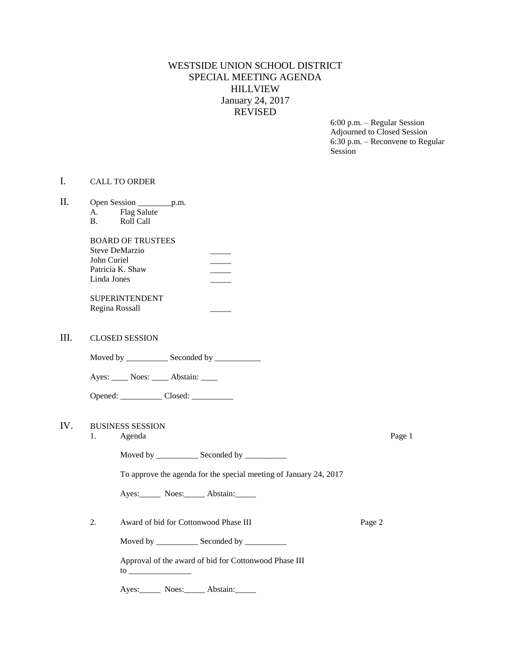## WESTSIDE UNION SCHOOL DISTRICT SPECIAL MEETING AGENDA HILLVIEW January 24, 2017 REVISED

6:00 p.m. – Regular Session Adjourned to Closed Session 6:30 p.m. – Reconvene to Regular Session

## I. CALL TO ORDER

| Π.  | A.<br><b>B.</b>                                    | Open Session ________________p.m.<br><b>Flag Salute</b><br>Roll Call                                                                                                                                                                                                                    |        |        |  |
|-----|----------------------------------------------------|-----------------------------------------------------------------------------------------------------------------------------------------------------------------------------------------------------------------------------------------------------------------------------------------|--------|--------|--|
|     | John Curiel<br>Linda Jones                         | <b>BOARD OF TRUSTEES</b><br>Steve DeMarzio<br>Patricia K. Shaw                                                                                                                                                                                                                          |        |        |  |
|     |                                                    | <b>SUPERINTENDENT</b><br>Regina Rossall                                                                                                                                                                                                                                                 |        |        |  |
| Ш.  |                                                    | <b>CLOSED SESSION</b>                                                                                                                                                                                                                                                                   |        |        |  |
|     | Moved by ______________ Seconded by ______________ |                                                                                                                                                                                                                                                                                         |        |        |  |
|     |                                                    | Ayes: _____ Noes: _____ Abstain: _____                                                                                                                                                                                                                                                  |        |        |  |
|     |                                                    | Opened: ______________ Closed: ____________                                                                                                                                                                                                                                             |        |        |  |
| IV. | <b>BUSINESS SESSION</b><br>1.<br>Agenda            |                                                                                                                                                                                                                                                                                         |        | Page 1 |  |
|     |                                                    | Moved by _____________ Seconded by ___________                                                                                                                                                                                                                                          |        |        |  |
|     |                                                    | To approve the agenda for the special meeting of January 24, 2017                                                                                                                                                                                                                       |        |        |  |
|     |                                                    | Ayes: Noes: Abstain:                                                                                                                                                                                                                                                                    |        |        |  |
|     | 2.                                                 | Award of bid for Cottonwood Phase III                                                                                                                                                                                                                                                   | Page 2 |        |  |
|     |                                                    | Moved by _____________ Seconded by ___________                                                                                                                                                                                                                                          |        |        |  |
|     |                                                    | Approval of the award of bid for Cottonwood Phase III<br>to to the contract of the contract of the contract of the contract of the contract of the contract of the contract of the contract of the contract of the contract of the contract of the contract of the contract of the cont |        |        |  |
|     |                                                    |                                                                                                                                                                                                                                                                                         |        |        |  |

Ayes: Noes: Abstain: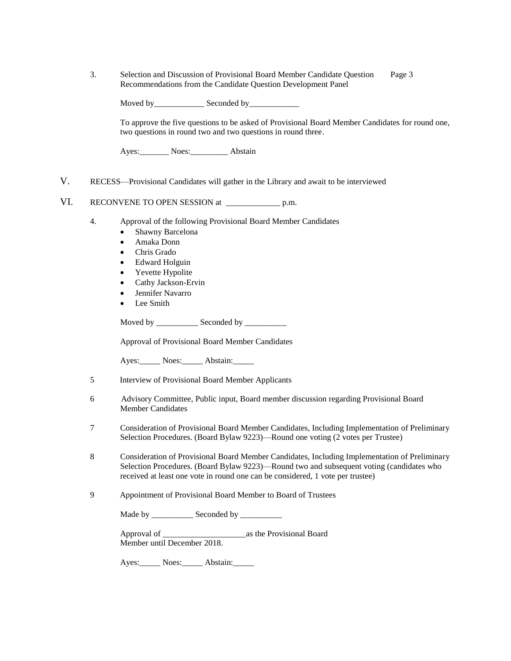3. Selection and Discussion of Provisional Board Member Candidate Question Page 3 Recommendations from the Candidate Question Development Panel

| Moved by | Seconded by |
|----------|-------------|
|----------|-------------|

To approve the five questions to be asked of Provisional Board Member Candidates for round one, two questions in round two and two questions in round three.

Ayes:\_\_\_\_\_\_\_ Noes:\_\_\_\_\_\_\_\_\_ Abstain

V. RECESS—Provisional Candidates will gather in the Library and await to be interviewed

VI. RECONVENE TO OPEN SESSION at \_\_\_\_\_\_\_\_\_\_\_\_\_\_\_\_\_\_\_ p.m.

- 4. Approval of the following Provisional Board Member Candidates
	- Shawny Barcelona
	- Amaka Donn
	- Chris Grado
	- Edward Holguin
	- Yevette Hypolite
	- Cathy Jackson-Ervin
	- Jennifer Navarro
	- Lee Smith

Moved by \_\_\_\_\_\_\_\_\_\_\_\_\_ Seconded by \_\_\_\_\_\_\_\_\_\_\_

Approval of Provisional Board Member Candidates

Ayes: Noes: Abstain:

- 5 Interview of Provisional Board Member Applicants
- 6 Advisory Committee, Public input, Board member discussion regarding Provisional Board Member Candidates
- 7 Consideration of Provisional Board Member Candidates, Including Implementation of Preliminary Selection Procedures. (Board Bylaw 9223)—Round one voting (2 votes per Trustee)
- 8 Consideration of Provisional Board Member Candidates, Including Implementation of Preliminary Selection Procedures. (Board Bylaw 9223)—Round two and subsequent voting (candidates who received at least one vote in round one can be considered, 1 vote per trustee)
- 9 Appointment of Provisional Board Member to Board of Trustees

Made by \_\_\_\_\_\_\_\_\_\_\_\_\_ Seconded by \_\_\_\_\_\_\_\_\_\_\_\_

Approval of \_\_\_\_\_\_\_\_\_\_\_\_\_\_\_\_\_\_\_\_as the Provisional Board Member until December 2018.

Ayes: Noes: Abstain: